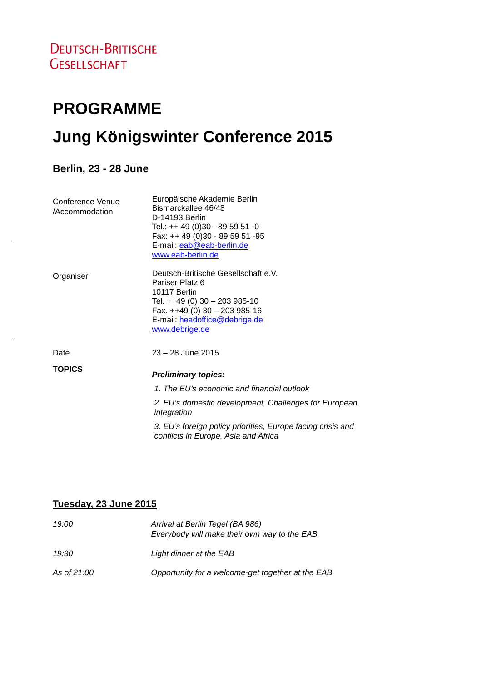# **PROGRAMME Jung Königswinter Conference 2015**

**Berlin, 23 - 28 June**

| Conference Venue<br>/Accommodation | Europäische Akademie Berlin<br>Bismarckallee 46/48<br>D-14193 Berlin<br>Tel.: ++ 49 (0)30 - 89 59 51 -0<br>Fax: ++ 49 (0)30 - 89 59 51 -95<br>E-mail: eab@eab-berlin.de<br>www.eab-berlin.de   |
|------------------------------------|------------------------------------------------------------------------------------------------------------------------------------------------------------------------------------------------|
| Organiser                          | Deutsch-Britische Gesellschaft e.V.<br>Pariser Platz 6<br>10117 Berlin<br>Tel. $++49$ (0) 30 - 203 985-10<br>Fax. $++49(0)$ 30 - 203 985-16<br>E-mail: headoffice@debrige.de<br>www.debrige.de |
| Date                               | $23 - 28$ June 2015                                                                                                                                                                            |
| <b>TOPICS</b>                      | <b>Preliminary topics:</b><br>1. The EU's economic and financial outlook<br>2. EU's domestic development, Challenges for European<br>integration                                               |
|                                    |                                                                                                                                                                                                |

*3. EU's foreign policy priorities, Europe facing crisis and conflicts in Europe, Asia and Africa*

#### **Tuesday, 23 June 2015**

| 19:00       | Arrival at Berlin Tegel (BA 986)<br>Everybody will make their own way to the EAB |
|-------------|----------------------------------------------------------------------------------|
| 19:30       | Light dinner at the EAB                                                          |
| As of 21:00 | Opportunity for a welcome-get together at the EAB                                |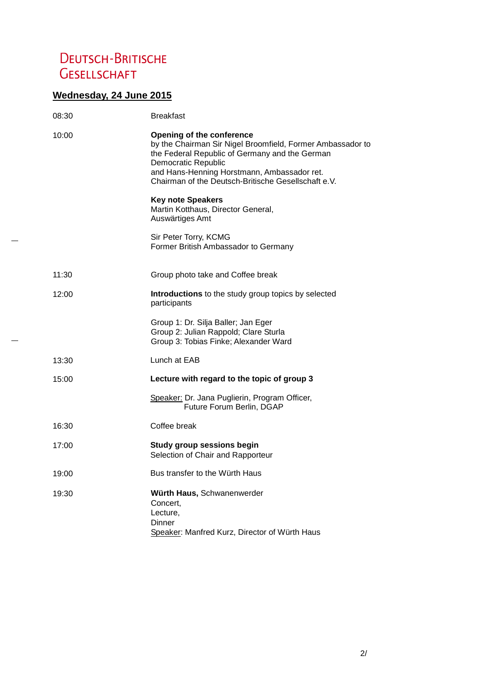## **DEUTSCH-BRITISCHE GESELLSCHAFT**

### **Wednesday, 24 June 2015**

| 08:30 | <b>Breakfast</b>                                                                                                                                                                                                                                                              |
|-------|-------------------------------------------------------------------------------------------------------------------------------------------------------------------------------------------------------------------------------------------------------------------------------|
| 10:00 | <b>Opening of the conference</b><br>by the Chairman Sir Nigel Broomfield, Former Ambassador to<br>the Federal Republic of Germany and the German<br>Democratic Republic<br>and Hans-Henning Horstmann, Ambassador ret.<br>Chairman of the Deutsch-Britische Gesellschaft e.V. |
|       | <b>Key note Speakers</b><br>Martin Kotthaus, Director General,<br>Auswärtiges Amt                                                                                                                                                                                             |
|       | Sir Peter Torry, KCMG<br>Former British Ambassador to Germany                                                                                                                                                                                                                 |
| 11:30 | Group photo take and Coffee break                                                                                                                                                                                                                                             |
| 12:00 | Introductions to the study group topics by selected<br>participants                                                                                                                                                                                                           |
|       | Group 1: Dr. Silja Baller; Jan Eger<br>Group 2: Julian Rappold; Clare Sturla<br>Group 3: Tobias Finke; Alexander Ward                                                                                                                                                         |
| 13:30 | Lunch at EAB                                                                                                                                                                                                                                                                  |
| 15:00 | Lecture with regard to the topic of group 3                                                                                                                                                                                                                                   |
|       | Speaker: Dr. Jana Puglierin, Program Officer,<br>Future Forum Berlin, DGAP                                                                                                                                                                                                    |
| 16:30 | Coffee break                                                                                                                                                                                                                                                                  |
| 17:00 | Study group sessions begin<br>Selection of Chair and Rapporteur                                                                                                                                                                                                               |
| 19:00 | Bus transfer to the Würth Haus                                                                                                                                                                                                                                                |
| 19:30 | Würth Haus, Schwanenwerder<br>Concert,<br>Lecture,<br>Dinner<br>Speaker: Manfred Kurz, Director of Würth Haus                                                                                                                                                                 |
|       |                                                                                                                                                                                                                                                                               |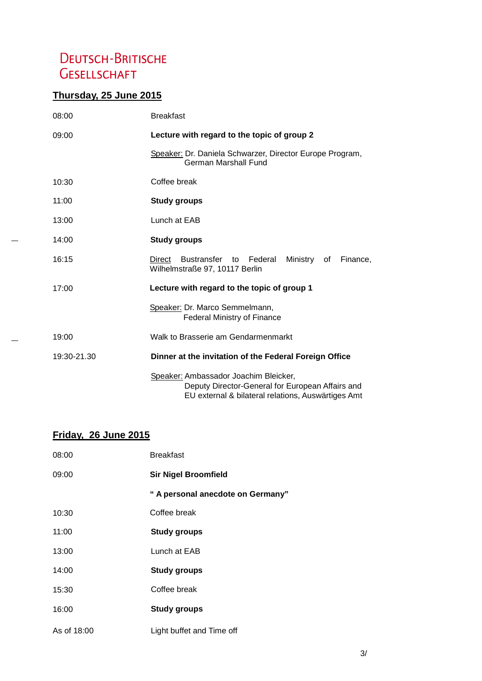## **DEUTSCH-BRITISCHE GESELLSCHAFT**

#### **Thursday, 25 June 2015**

| 08:00       | <b>Breakfast</b>                                                                                                                                |
|-------------|-------------------------------------------------------------------------------------------------------------------------------------------------|
| 09:00       | Lecture with regard to the topic of group 2                                                                                                     |
|             | Speaker: Dr. Daniela Schwarzer, Director Europe Program,<br>German Marshall Fund                                                                |
| 10:30       | Coffee break                                                                                                                                    |
| 11:00       | <b>Study groups</b>                                                                                                                             |
| 13:00       | Lunch at EAB                                                                                                                                    |
| 14:00       | <b>Study groups</b>                                                                                                                             |
| 16:15       | Bustransfer to Federal<br>Direct<br>Ministry of<br>Finance,<br>Wilhelmstraße 97, 10117 Berlin                                                   |
| 17:00       | Lecture with regard to the topic of group 1                                                                                                     |
|             | Speaker: Dr. Marco Semmelmann,<br><b>Federal Ministry of Finance</b>                                                                            |
| 19:00       | Walk to Brasserie am Gendarmenmarkt                                                                                                             |
| 19:30-21.30 | Dinner at the invitation of the Federal Foreign Office                                                                                          |
|             | Speaker: Ambassador Joachim Bleicker,<br>Deputy Director-General for European Affairs and<br>EU external & bilateral relations, Auswärtiges Amt |

#### **Friday, 26 June 2015**

| 08:00       | <b>Breakfast</b>                  |
|-------------|-----------------------------------|
| 09:00       | <b>Sir Nigel Broomfield</b>       |
|             | " A personal anecdote on Germany" |
| 10:30       | Coffee break                      |
| 11:00       | <b>Study groups</b>               |
| 13:00       | Lunch at EAB                      |
| 14:00       | Study groups                      |
| 15:30       | Coffee break                      |
| 16:00       | <b>Study groups</b>               |
| As of 18:00 | Light buffet and Time off         |